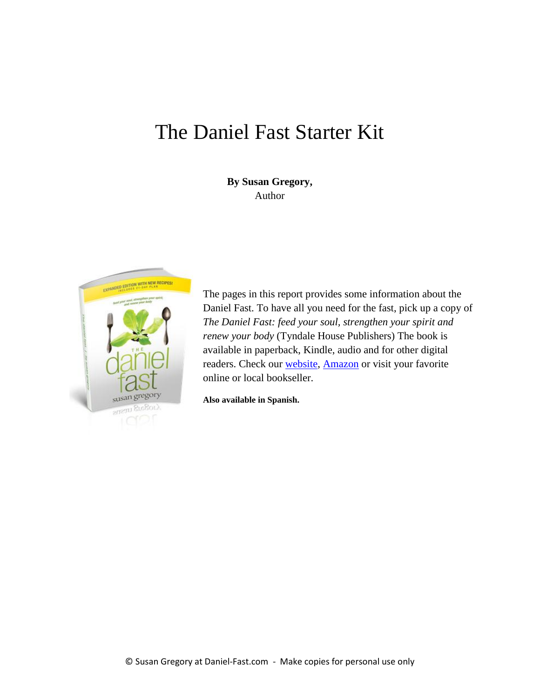# The Daniel Fast Starter Kit

**By Susan Gregory,** Author



The pages in this report provides some information about the Daniel Fast. To have all you need for the fast, pick up a copy of *The Daniel Fast: feed your soul, strengthen your spirit and renew your body* (Tyndale House Publishers) The book is available in paperback, Kindle, audio and for other digital readers. Check our [website,](http://daniel-fast.com/store.html) [Amazon](http://www.amazon.com/dp/1414334133/?tag=lacatt-20) or visit your favorite online or local bookseller.

**Also available in Spanish.**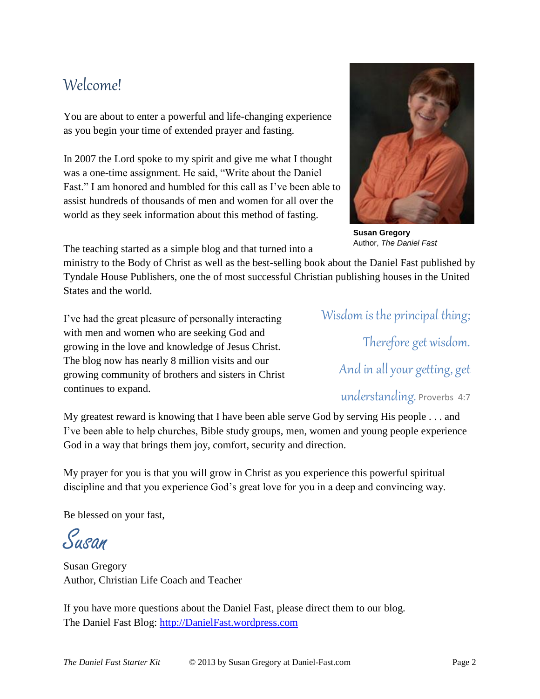## Welcome!

You are about to enter a powerful and life-changing experience as you begin your time of extended prayer and fasting.

In 2007 the Lord spoke to my spirit and give me what I thought was a one-time assignment. He said, "Write about the Daniel Fast." I am honored and humbled for this call as I've been able to assist hundreds of thousands of men and women for all over the world as they seek information about this method of fasting.



**Susan Gregory** Author, *The Daniel Fast*

The teaching started as a simple blog and that turned into a

ministry to the Body of Christ as well as the best-selling book about the Daniel Fast published by Tyndale House Publishers, one the of most successful Christian publishing houses in the United States and the world.

I've had the great pleasure of personally interacting with men and women who are seeking God and growing in the love and knowledge of Jesus Christ. The blog now has nearly 8 million visits and our growing community of brothers and sisters in Christ continues to expand.

Wisdom is the principal thing; Therefore get wisdom. And in all your getting, get understanding. Proverbs 4:7

My greatest reward is knowing that I have been able serve God by serving His people . . . and I've been able to help churches, Bible study groups, men, women and young people experience God in a way that brings them joy, comfort, security and direction.

My prayer for you is that you will grow in Christ as you experience this powerful spiritual discipline and that you experience God's great love for you in a deep and convincing way.

Be blessed on your fast,

Susan

Susan Gregory Author, Christian Life Coach and Teacher

If you have more questions about the Daniel Fast, please direct them to our blog. The Daniel Fast Blog: [http://DanielFast.wordpress.com](http://danielfast.wordpress.com/)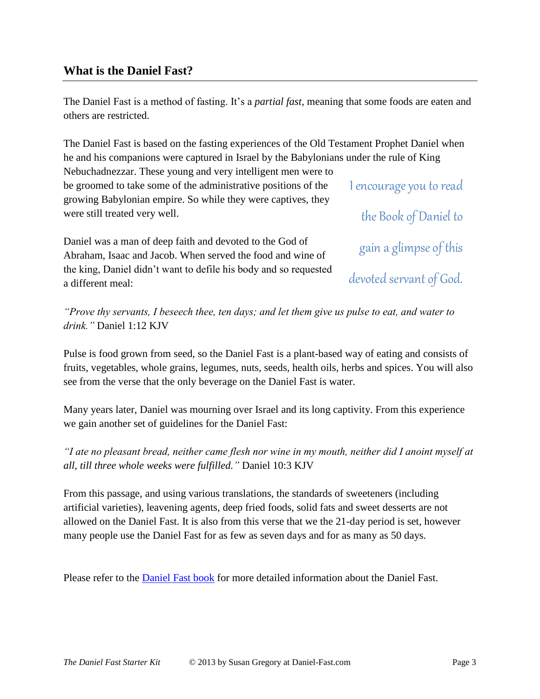### **What is the Daniel Fast?**

The Daniel Fast is a method of fasting. It's a *partial fast*, meaning that some foods are eaten and others are restricted.

I encourage you to read The Daniel Fast is based on the fasting experiences of the Old Testament Prophet Daniel when he and his companions were captured in Israel by the Babylonians under the rule of King Nebuchadnezzar. These young and very intelligent men were to be groomed to take some of the administrative positions of the growing Babylonian empire. So while they were captives, they were still treated very well.

Daniel was a man of deep faith and devoted to the God of Abraham, Isaac and Jacob. When served the food and wine of the king, Daniel didn't want to defile his body and so requested a different meal:

the Book of Daniel to gain a glimpse of this devoted servant of God.

*"Prove thy servants, I beseech thee, ten days; and let them give us pulse to eat, and water to drink."* Daniel 1:12 KJV

Pulse is food grown from seed, so the Daniel Fast is a plant-based way of eating and consists of fruits, vegetables, whole grains, legumes, nuts, seeds, health oils, herbs and spices. You will also see from the verse that the only beverage on the Daniel Fast is water.

Many years later, Daniel was mourning over Israel and its long captivity. From this experience we gain another set of guidelines for the Daniel Fast:

*"I ate no pleasant bread, neither came flesh nor wine in my mouth, neither did I anoint myself at all, till three whole weeks were fulfilled."* Daniel 10:3 KJV

From this passage, and using various translations, the standards of sweeteners (including artificial varieties), leavening agents, deep fried foods, solid fats and sweet desserts are not allowed on the Daniel Fast. It is also from this verse that we the 21-day period is set, however many people use the Daniel Fast for as few as seven days and for as many as 50 days.

Please refer to the **Daniel Fast book** for more detailed information about the Daniel Fast.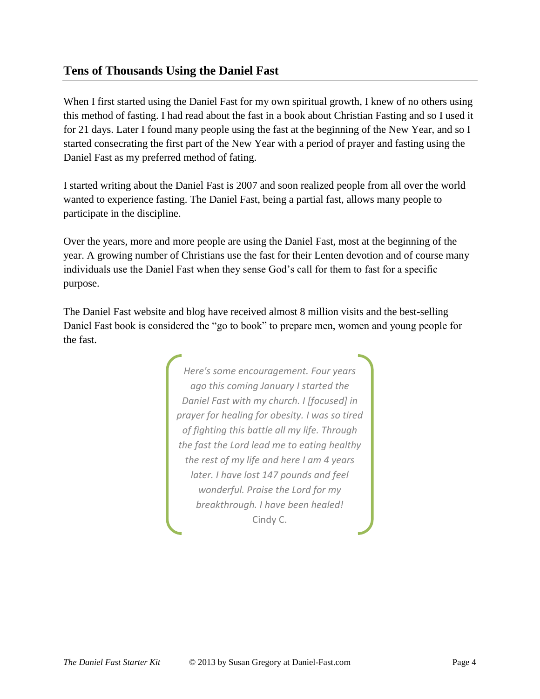### **Tens of Thousands Using the Daniel Fast**

When I first started using the Daniel Fast for my own spiritual growth, I knew of no others using this method of fasting. I had read about the fast in a book about Christian Fasting and so I used it for 21 days. Later I found many people using the fast at the beginning of the New Year, and so I started consecrating the first part of the New Year with a period of prayer and fasting using the Daniel Fast as my preferred method of fating.

I started writing about the Daniel Fast is 2007 and soon realized people from all over the world wanted to experience fasting. The Daniel Fast, being a partial fast, allows many people to participate in the discipline.

Over the years, more and more people are using the Daniel Fast, most at the beginning of the year. A growing number of Christians use the fast for their Lenten devotion and of course many individuals use the Daniel Fast when they sense God's call for them to fast for a specific purpose.

The Daniel Fast website and blog have received almost 8 million visits and the best-selling Daniel Fast book is considered the "go to book" to prepare men, women and young people for the fast.

> *Here's some encouragement. Four years ago this coming January I started the Daniel Fast with my church. I [focused] in prayer for healing for obesity. I was so tired of fighting this battle all my life. Through the fast the Lord lead me to eating healthy the rest of my life and here I am 4 years later. I have lost 147 pounds and feel wonderful. Praise the Lord for my breakthrough. I have been healed!*  Cindy C.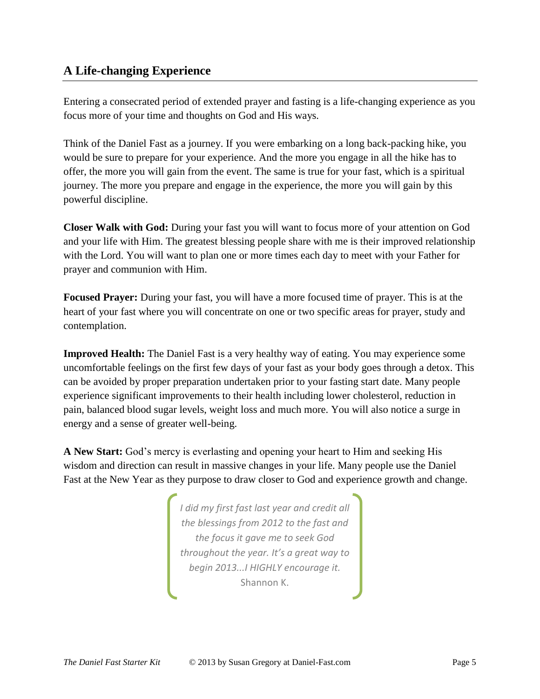## **A Life-changing Experience**

Entering a consecrated period of extended prayer and fasting is a life-changing experience as you focus more of your time and thoughts on God and His ways.

Think of the Daniel Fast as a journey. If you were embarking on a long back-packing hike, you would be sure to prepare for your experience. And the more you engage in all the hike has to offer, the more you will gain from the event. The same is true for your fast, which is a spiritual journey. The more you prepare and engage in the experience, the more you will gain by this powerful discipline.

**Closer Walk with God:** During your fast you will want to focus more of your attention on God and your life with Him. The greatest blessing people share with me is their improved relationship with the Lord. You will want to plan one or more times each day to meet with your Father for prayer and communion with Him.

**Focused Prayer:** During your fast, you will have a more focused time of prayer. This is at the heart of your fast where you will concentrate on one or two specific areas for prayer, study and contemplation.

**Improved Health:** The Daniel Fast is a very healthy way of eating. You may experience some uncomfortable feelings on the first few days of your fast as your body goes through a detox. This can be avoided by proper preparation undertaken prior to your fasting start date. Many people experience significant improvements to their health including lower cholesterol, reduction in pain, balanced blood sugar levels, weight loss and much more. You will also notice a surge in energy and a sense of greater well-being.

**A New Start:** God's mercy is everlasting and opening your heart to Him and seeking His wisdom and direction can result in massive changes in your life. Many people use the Daniel Fast at the New Year as they purpose to draw closer to God and experience growth and change.

> *I did my first fast last year and credit all the blessings from 2012 to the fast and the focus it gave me to seek God throughout the year. It's a great way to begin 2013...I HIGHLY encourage it.* Shannon K.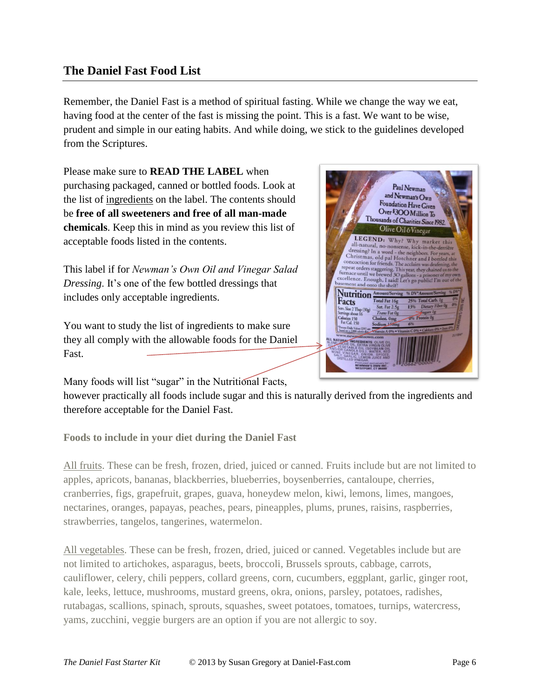### **The Daniel Fast Food List**

Remember, the Daniel Fast is a method of spiritual fasting. While we change the way we eat, having food at the center of the fast is missing the point. This is a fast. We want to be wise, prudent and simple in our eating habits. And while doing, we stick to the guidelines developed from the Scriptures.

Please make sure to **READ THE LABEL** when purchasing packaged, canned or bottled foods. Look at the list of ingredients on the label. The contents should be **free of all sweeteners and free of all man-made chemicals**. Keep this in mind as you review this list of acceptable foods listed in the contents.

This label if for *Newman's Own Oil and Vinegar Salad Dressing*. It's one of the few bottled dressings that includes only acceptable ingredients.

You want to study the list of ingredients to make sure they all comply with the allowable foods for the Daniel Fast.

Many foods will list "sugar" in the Nutritional Facts,

however practically all foods include sugar and this is naturally derived from the ingredients and therefore acceptable for the Daniel Fast.

**Foods to include in your diet during the Daniel Fast**

All fruits. These can be fresh, frozen, dried, juiced or canned. Fruits include but are not limited to apples, apricots, bananas, blackberries, blueberries, boysenberries, cantaloupe, cherries, cranberries, figs, grapefruit, grapes, guava, honeydew melon, kiwi, lemons, limes, mangoes, nectarines, oranges, papayas, peaches, pears, pineapples, plums, prunes, raisins, raspberries, strawberries, tangelos, tangerines, watermelon.

All vegetables. These can be fresh, frozen, dried, juiced or canned. Vegetables include but are not limited to artichokes, asparagus, beets, broccoli, Brussels sprouts, cabbage, carrots, cauliflower, celery, chili peppers, collard greens, corn, cucumbers, eggplant, garlic, ginger root, kale, leeks, lettuce, mushrooms, mustard greens, okra, onions, parsley, potatoes, radishes, rutabagas, scallions, spinach, sprouts, squashes, sweet potatoes, tomatoes, turnips, watercress, yams, zucchini, veggie burgers are an option if you are not allergic to soy.

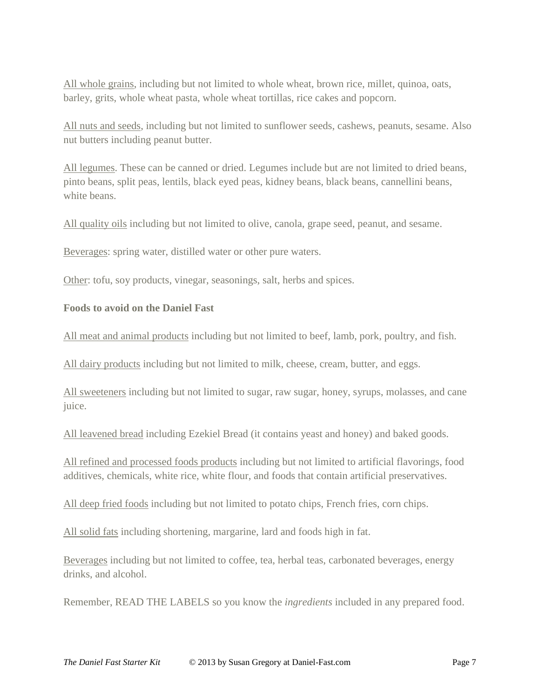All whole grains, including but not limited to whole wheat, brown rice, millet, quinoa, oats, barley, grits, whole wheat pasta, whole wheat tortillas, rice cakes and popcorn.

All nuts and seeds, including but not limited to sunflower seeds, cashews, peanuts, sesame. Also nut butters including peanut butter.

All legumes. These can be canned or dried. Legumes include but are not limited to dried beans, pinto beans, split peas, lentils, black eyed peas, kidney beans, black beans, cannellini beans, white beans.

All quality oils including but not limited to olive, canola, grape seed, peanut, and sesame.

Beverages: spring water, distilled water or other pure waters.

Other: tofu, soy products, vinegar, seasonings, salt, herbs and spices.

#### **Foods to avoid on the Daniel Fast**

All meat and animal products including but not limited to beef, lamb, pork, poultry, and fish.

All dairy products including but not limited to milk, cheese, cream, butter, and eggs.

All sweeteners including but not limited to sugar, raw sugar, honey, syrups, molasses, and cane juice.

All leavened bread including Ezekiel Bread (it contains yeast and honey) and baked goods.

All refined and processed foods products including but not limited to artificial flavorings, food additives, chemicals, white rice, white flour, and foods that contain artificial preservatives.

All deep fried foods including but not limited to potato chips, French fries, corn chips.

All solid fats including shortening, margarine, lard and foods high in fat.

Beverages including but not limited to coffee, tea, herbal teas, carbonated beverages, energy drinks, and alcohol.

Remember, READ THE LABELS so you know the *ingredients* included in any prepared food.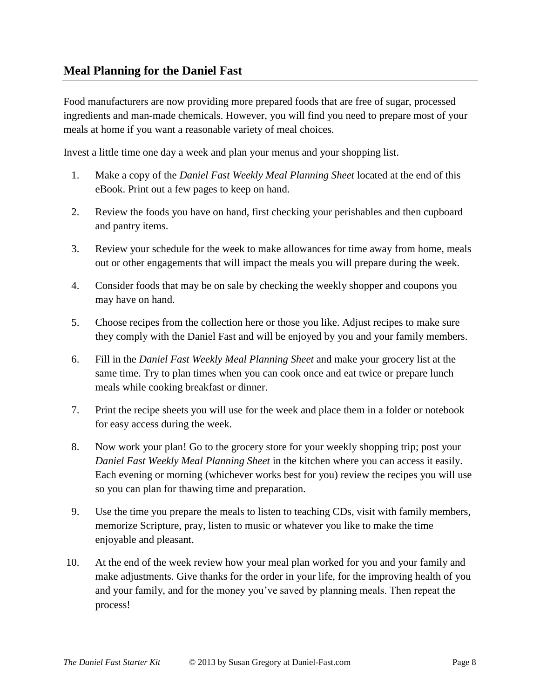Food manufacturers are now providing more prepared foods that are free of sugar, processed ingredients and man-made chemicals. However, you will find you need to prepare most of your meals at home if you want a reasonable variety of meal choices.

Invest a little time one day a week and plan your menus and your shopping list.

- 1. Make a copy of the *Daniel Fast Weekly Meal Planning Sheet* located at the end of this eBook. Print out a few pages to keep on hand.
- 2. Review the foods you have on hand, first checking your perishables and then cupboard and pantry items.
- 3. Review your schedule for the week to make allowances for time away from home, meals out or other engagements that will impact the meals you will prepare during the week.
- 4. Consider foods that may be on sale by checking the weekly shopper and coupons you may have on hand.
- 5. Choose recipes from the collection here or those you like. Adjust recipes to make sure they comply with the Daniel Fast and will be enjoyed by you and your family members.
- 6. Fill in the *Daniel Fast Weekly Meal Planning Sheet* and make your grocery list at the same time. Try to plan times when you can cook once and eat twice or prepare lunch meals while cooking breakfast or dinner.
- 7. Print the recipe sheets you will use for the week and place them in a folder or notebook for easy access during the week.
- 8. Now work your plan! Go to the grocery store for your weekly shopping trip; post your *Daniel Fast Weekly Meal Planning Sheet* in the kitchen where you can access it easily. Each evening or morning (whichever works best for you) review the recipes you will use so you can plan for thawing time and preparation.
- 9. Use the time you prepare the meals to listen to teaching CDs, visit with family members, memorize Scripture, pray, listen to music or whatever you like to make the time enjoyable and pleasant.
- 10. At the end of the week review how your meal plan worked for you and your family and make adjustments. Give thanks for the order in your life, for the improving health of you and your family, and for the money you've saved by planning meals. Then repeat the process!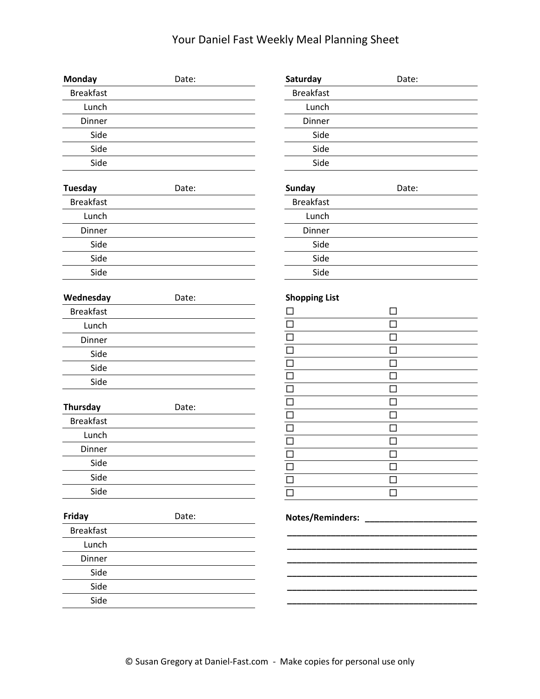## Your Daniel Fast Weekly Meal Planning Sheet

| Monday           | Date: | Saturday                | Date:            |  |
|------------------|-------|-------------------------|------------------|--|
| <b>Breakfast</b> |       | <b>Breakfast</b>        |                  |  |
| Lunch            |       | Lunch                   |                  |  |
| Dinner           |       | Dinner                  |                  |  |
| Side             |       | Side                    |                  |  |
| Side             |       | Side                    |                  |  |
| Side             |       | Side                    |                  |  |
| <b>Tuesday</b>   | Date: | <b>Sunday</b>           | Date:            |  |
| <b>Breakfast</b> |       | <b>Breakfast</b>        |                  |  |
| Lunch            |       | Lunch                   |                  |  |
| Dinner           |       | Dinner                  |                  |  |
| Side             |       | Side                    |                  |  |
| Side             |       | Side                    |                  |  |
| Side             |       | Side                    |                  |  |
| Wednesday        | Date: | <b>Shopping List</b>    |                  |  |
| <b>Breakfast</b> |       | $\mathbf{r}$            | $\Box$           |  |
| Lunch            |       | $\Box$                  | $\Box$           |  |
| Dinner           |       | $\Box$                  | $\Box$           |  |
| Side             |       | $\Box$                  | $\Box$           |  |
| Side             |       | $\Box$                  | $\Box$           |  |
| Side             |       | $\Box$                  | $\Box$           |  |
|                  |       | $\Box$                  | $\Box$           |  |
| <b>Thursday</b>  | Date: | $\Box$<br>$\Box$        | $\Box$<br>$\Box$ |  |
| <b>Breakfast</b> |       | $\Box$                  | $\Box$           |  |
| Lunch            |       | $\Box$                  | $\Box$           |  |
| Dinner           |       | $\overline{\square}$    | $\Box$           |  |
| Side             |       | $\Box$                  | $\Box$           |  |
| Side             |       | П                       | □                |  |
| Side             |       |                         | $\Box$           |  |
| Friday           | Date: | <b>Notes/Reminders:</b> |                  |  |
| <b>Breakfast</b> |       |                         |                  |  |
| Lunch            |       |                         |                  |  |
| Dinner           |       |                         |                  |  |
| Side             |       |                         |                  |  |
| Side             |       |                         |                  |  |
| Side             |       |                         |                  |  |
|                  |       |                         |                  |  |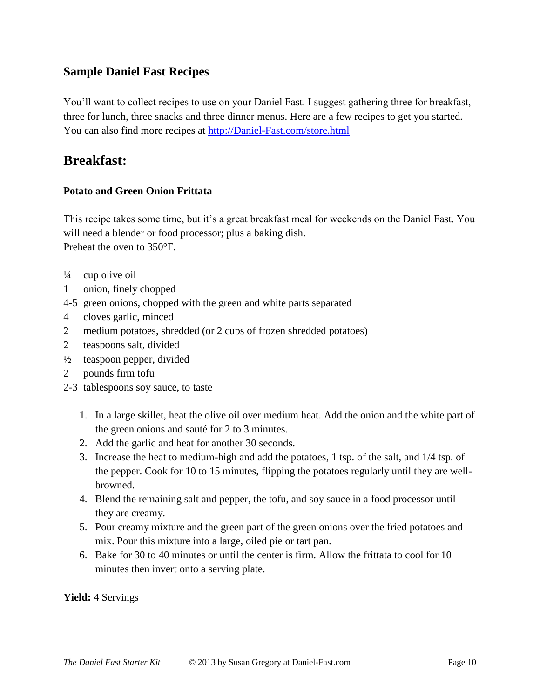## **Sample Daniel Fast Recipes**

You'll want to collect recipes to use on your Daniel Fast. I suggest gathering three for breakfast, three for lunch, three snacks and three dinner menus. Here are a few recipes to get you started. You can also find more recipes at [http://Daniel-Fast.com/store.html](http://daniel-fast.com/store.html)

## **Breakfast:**

#### **Potato and Green Onion Frittata**

This recipe takes some time, but it's a great breakfast meal for weekends on the Daniel Fast. You will need a blender or food processor; plus a baking dish. Preheat the oven to 350°F.

- $\frac{1}{4}$  cup olive oil
- 1 onion, finely chopped
- 4-5 green onions, chopped with the green and white parts separated
- 4 cloves garlic, minced
- 2 medium potatoes, shredded (or 2 cups of frozen shredded potatoes)
- 2 teaspoons salt, divided
- ½ teaspoon pepper, divided
- 2 pounds firm tofu
- 2-3 tablespoons soy sauce, to taste
	- 1. In a large skillet, heat the olive oil over medium heat. Add the onion and the white part of the green onions and sauté for 2 to 3 minutes.
	- 2. Add the garlic and heat for another 30 seconds.
	- 3. Increase the heat to medium-high and add the potatoes, 1 tsp. of the salt, and 1/4 tsp. of the pepper. Cook for 10 to 15 minutes, flipping the potatoes regularly until they are wellbrowned.
	- 4. Blend the remaining salt and pepper, the tofu, and soy sauce in a food processor until they are creamy.
	- 5. Pour creamy mixture and the green part of the green onions over the fried potatoes and mix. Pour this mixture into a large, oiled pie or tart pan.
	- 6. Bake for 30 to 40 minutes or until the center is firm. Allow the frittata to cool for 10 minutes then invert onto a serving plate.

**Yield:** 4 Servings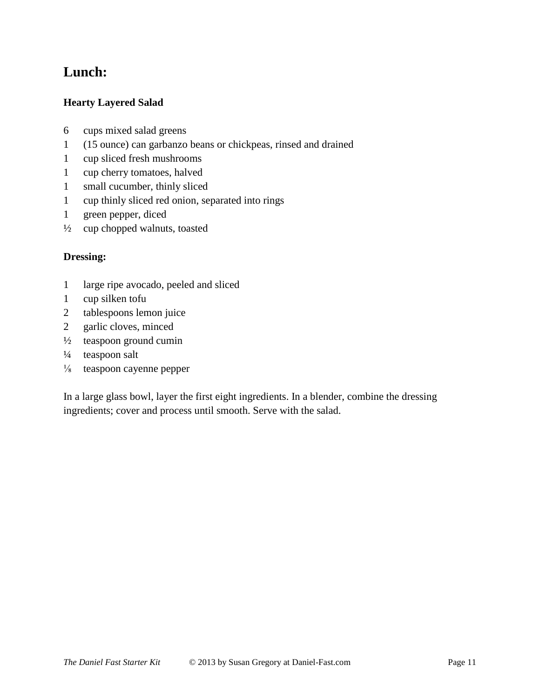## **Lunch:**

#### **Hearty Layered Salad**

- 6 cups mixed salad greens
- 1 (15 ounce) can garbanzo beans or chickpeas, rinsed and drained
- 1 cup sliced fresh mushrooms
- 1 cup cherry tomatoes, halved
- 1 small cucumber, thinly sliced
- 1 cup thinly sliced red onion, separated into rings
- 1 green pepper, diced
- $\frac{1}{2}$  cup chopped walnuts, toasted

#### **Dressing:**

- 1 large ripe avocado, peeled and sliced
- 1 cup silken tofu
- 2 tablespoons lemon juice
- 2 garlic cloves, minced
- $\frac{1}{2}$  teaspoon ground cumin
- $\frac{1}{4}$  teaspoon salt
- ⅛ teaspoon cayenne pepper

In a large glass bowl, layer the first eight ingredients. In a blender, combine the dressing ingredients; cover and process until smooth. Serve with the salad.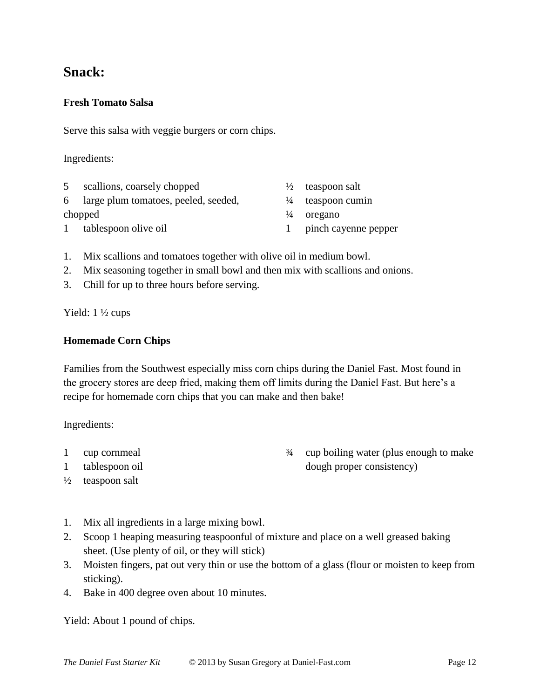## **Snack:**

#### **Fresh Tomato Salsa**

Serve this salsa with veggie burgers or corn chips.

#### Ingredients:

| 5 | scallions, coarsely chopped            | $\frac{1}{2}$ teaspoon salt  |
|---|----------------------------------------|------------------------------|
|   | 6 large plum tomatoes, peeled, seeded, | $\frac{1}{4}$ teaspoon cumin |
|   | chopped                                | $\frac{1}{4}$ oregano        |
|   | 1 tablespoon olive oil                 | 1 pinch cayenne pepper       |

- 1. Mix scallions and tomatoes together with olive oil in medium bowl.
- 2. Mix seasoning together in small bowl and then mix with scallions and onions.
- 3. Chill for up to three hours before serving.

Yield: 1 ½ cups

#### **Homemade Corn Chips**

Families from the Southwest especially miss corn chips during the Daniel Fast. Most found in the grocery stores are deep fried, making them off limits during the Daniel Fast. But here's a recipe for homemade corn chips that you can make and then bake!

Ingredients:

- 1 cup cornmeal
- 1 tablespoon oil
- $\frac{1}{2}$  teaspoon salt
- ¾ cup boiling water (plus enough to make dough proper consistency)
- 1. Mix all ingredients in a large mixing bowl.
- 2. Scoop 1 heaping measuring teaspoonful of mixture and place on a well greased baking sheet. (Use plenty of oil, or they will stick)
- 3. Moisten fingers, pat out very thin or use the bottom of a glass (flour or moisten to keep from sticking).
- 4. Bake in 400 degree oven about 10 minutes.

Yield: About 1 pound of chips.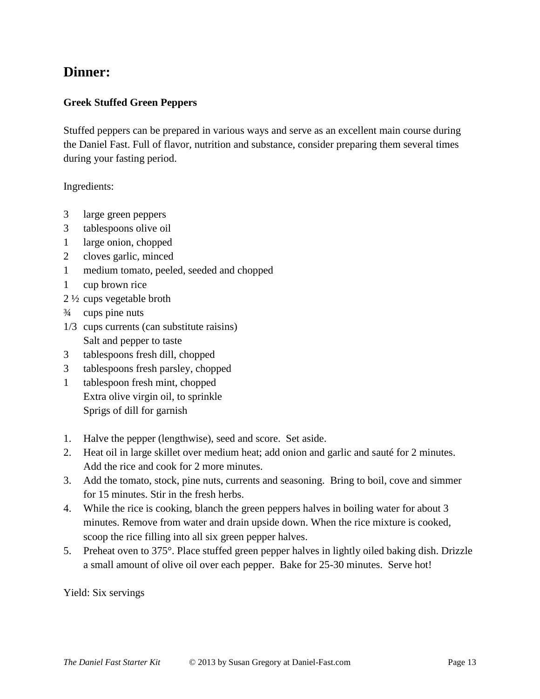## **Dinner:**

#### **Greek Stuffed Green Peppers**

Stuffed peppers can be prepared in various ways and serve as an excellent main course during the Daniel Fast. Full of flavor, nutrition and substance, consider preparing them several times during your fasting period.

#### Ingredients:

- 3 large green peppers
- 3 tablespoons olive oil
- 1 large onion, chopped
- 2 cloves garlic, minced
- 1 medium tomato, peeled, seeded and chopped
- 1 cup brown rice
- 2 ½ cups vegetable broth
- ¾ cups pine nuts
- 1/3 cups currents (can substitute raisins) Salt and pepper to taste
- 3 tablespoons fresh dill, chopped
- 3 tablespoons fresh parsley, chopped
- 1 tablespoon fresh mint, chopped Extra olive virgin oil, to sprinkle Sprigs of dill for garnish
- 1. Halve the pepper (lengthwise), seed and score. Set aside.
- 2. Heat oil in large skillet over medium heat; add onion and garlic and sauté for 2 minutes. Add the rice and cook for 2 more minutes.
- 3. Add the tomato, stock, pine nuts, currents and seasoning. Bring to boil, cove and simmer for 15 minutes. Stir in the fresh herbs.
- 4. While the rice is cooking, blanch the green peppers halves in boiling water for about 3 minutes. Remove from water and drain upside down. When the rice mixture is cooked, scoop the rice filling into all six green pepper halves.
- 5. Preheat oven to 375°. Place stuffed green pepper halves in lightly oiled baking dish. Drizzle a small amount of olive oil over each pepper. Bake for 25-30 minutes. Serve hot!

Yield: Six servings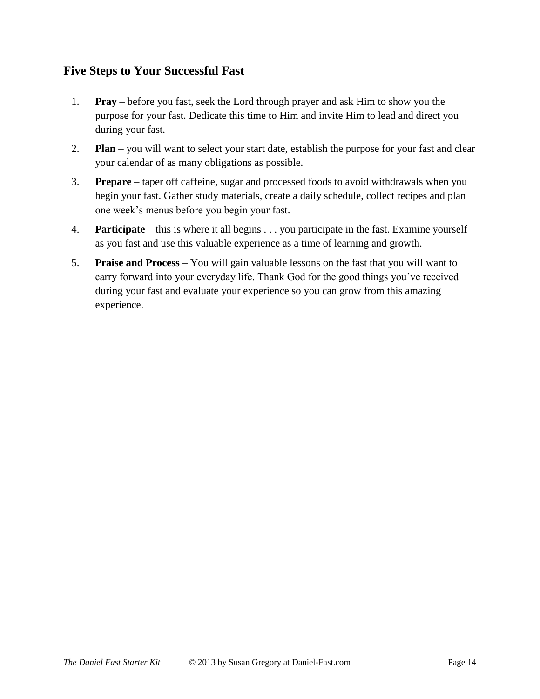- 1. **Pray** before you fast, seek the Lord through prayer and ask Him to show you the purpose for your fast. Dedicate this time to Him and invite Him to lead and direct you during your fast.
- 2. **Plan** you will want to select your start date, establish the purpose for your fast and clear your calendar of as many obligations as possible.
- 3. **Prepare** taper off caffeine, sugar and processed foods to avoid withdrawals when you begin your fast. Gather study materials, create a daily schedule, collect recipes and plan one week's menus before you begin your fast.
- 4. **Participate** this is where it all begins . . . you participate in the fast. Examine yourself as you fast and use this valuable experience as a time of learning and growth.
- 5. **Praise and Process** You will gain valuable lessons on the fast that you will want to carry forward into your everyday life. Thank God for the good things you've received during your fast and evaluate your experience so you can grow from this amazing experience.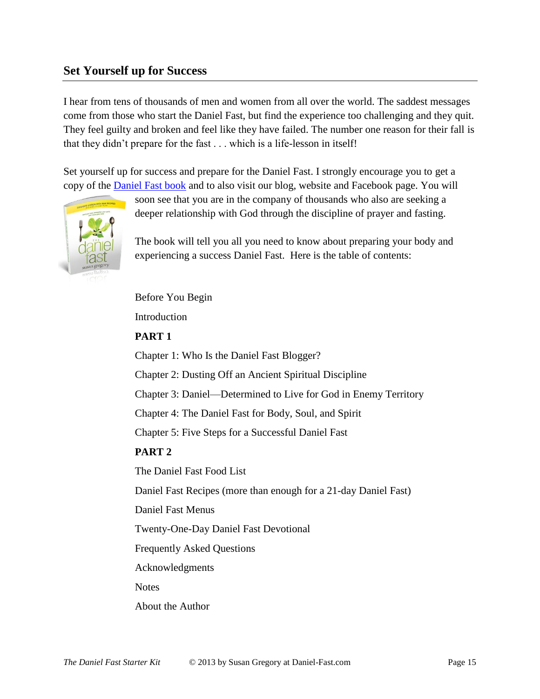### **Set Yourself up for Success**

I hear from tens of thousands of men and women from all over the world. The saddest messages come from those who start the Daniel Fast, but find the experience too challenging and they quit. They feel guilty and broken and feel like they have failed. The number one reason for their fall is that they didn't prepare for the fast . . . which is a life-lesson in itself!

Set yourself up for success and prepare for the Daniel Fast. I strongly encourage you to get a copy of the [Daniel Fast book](http://www.amazon.com/dp/1414334133/?tag=lacatt-20) and to also visit our blog, website and Facebook page. You will



soon see that you are in the company of thousands who also are seeking a deeper relationship with God through the discipline of prayer and fasting.

The book will tell you all you need to know about preparing your body and experiencing a success Daniel Fast. Here is the table of contents:

Before You Begin

Introduction

#### **PART 1**

Chapter 1: Who Is the Daniel Fast Blogger?

Chapter 2: Dusting Off an Ancient Spiritual Discipline

Chapter 3: Daniel—Determined to Live for God in Enemy Territory

Chapter 4: The Daniel Fast for Body, Soul, and Spirit

Chapter 5: Five Steps for a Successful Daniel Fast

#### **PART 2**

The Daniel Fast Food List

Daniel Fast Recipes (more than enough for a 21-day Daniel Fast)

Daniel Fast Menus

Twenty-One-Day Daniel Fast Devotional

Frequently Asked Questions

Acknowledgments

**Notes** 

About the Author